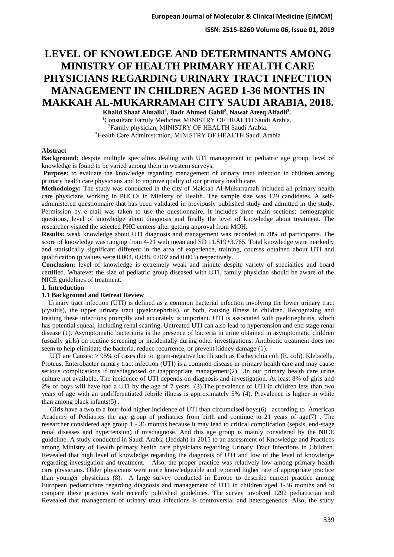**ISSN: 2515-8260 Volume 06, Issue 01, 2019**

# **LEVEL OF KNOWLEDGE AND DETERMINANTS AMONG MINISTRY OF HEALTH PRIMARY HEALTH CARE PHYSICIANS REGARDING URINARY TRACT INFECTION MANAGEMENT IN CHILDREN AGED 1-36 MONTHS IN MAKKAH AL-MUKARRAMAH CITY SAUDI ARABIA, 2018.**

**Khalid Shaaf Almalki<sup>1</sup> , Badr Ahmed Gabil<sup>2</sup> , Nawaf Ateeq Alfadli<sup>3</sup> .**

<sup>1</sup>Consultant Family Medicine, MINISTRY OF HEALTH Saudi Arabia. <sup>2</sup>Family physician, MINISTRY OF HEALTH Saudi Arabia. <sup>3</sup>Health Care Administration, MINISTRY OF HEALTH Saudi Arabia

### **Abstract**

**Background:** despite multiple specialties dealing with UTI management in pediatric age group, level of knowledge is found to be varied among them in western surveys.

Purpose: to evaluate the knowledge regarding management of urinary tract infection in children among primary health care physicians and to improve quality of our primary health care.

**Methodology:** The study was conducted in the city of Makkah Al-Mukarramah included all primary health care physicians working in PHCCs in Ministry of Health. The sample size was 129 candidates. A selfadministered questionnaire that has been validated in previously published study and admitted in the study. Permission by e-mail was taken to use the questionnaire. It includes three main sections; demographic questions, level of knowledge about diagnosis and finally the level of knowledge about treatment. The researcher visited the selected PHC centers after getting approval from MOH.

**Results:** weak knowledge about UTI diagnosis and management was recorded in 70% of participants. The score of knowledge was ranging from 4-21 with mean and SD 11.519+3.765. Total knowledge were markedly and statistically significant different in the area of experience, training, courses obtained about UTI and qualification (p values were 0.004, 0.048, 0.002 and 0.003) respectively.

**Conclusion:** level of knowledge is extremely weak and minute despite variety of specialties and board certified. Whatever the size of pediatric group diseased with UTI, family physician should be aware of the NICE guidelines of treatment.

### **1. Introduction**

### **1.1 Background and Retreat Review**

 Urinary tract infection (UTI) is defined as a common bacterial infection involving the lower urinary tract (cystitis), the upper urinary tract (pyelonephritis), or both, causing illness in children. Recognizing and treating these infections promptly and accurately is important. UTI is associated with pyelonephritis, which has potential squeal, including renal scarring. Untreated UTI can also lead to hypertension and end stage renal disease (1). Asymptomatic bacteriuria is the presence of bacteria in urine obtained in asymptomatic children (usually girls) on routine screening or incidentally during other investigations. Antibiotic treatment does not seem to help eliminate the bacteria, reduce recurrence, or prevent kidney damage (1).

 UTI are Causes: > 95% of cases due to gram-negative bacilli such as Escherichia coli (E. coli), Klebsiella, Proteus, Enterobacter urinary tract infection (UTI) is a common disease in primary health care and may cause serious complications if misdiagnosed or inappropriate management(2) .In our primary health care urine culture not available. The incidence of UTI depends on diagnosis and investigation. At least 8% of girls and 2% of boys will have had a UTI by the age of 7 years (3).The prevalence of UTI in children less than two years of age with an undifferentiated febrile illness is approximately 5% (4). Prevalence is higher in white than among black infants(5) .

 Girls have a two to a four-fold higher incidence of UTI than circumcised boys(6) . according to American Academy of Pediatrics the age group of pediatrics from birth and continue to 21 years of age(7) . The researcher considered age group 1 - 36 months because it may lead to critical complication (sepsis, end-stage renal diseases and hypertension) if misdiagnose. And this age group is mainly considered by the NICE guideline. A study conducted in Saudi Arabia (Jeddah) in 2015 to an assessment of Knowledge and Practices among Ministry of Health primary health care physicians regarding Urinary Tract Infections in Children. Revealed that high level of knowledge regarding the diagnosis of UTI and low of the level of knowledge regarding investigation and treatment. Also, the proper practice was relatively low among primary health care physicians. Older physicians were more knowledgeable and reported higher rate of appropriate practice than younger physicians (8). A large survey conducted in Europe to describe current practice among European pediatricians regarding diagnosis and management of UTI in children aged 1-36 months and to compare these practices with recently published guidelines. The survey involved 1292 pediatrician and Revealed that management of urinary tract infections is controversial and heterogeneous. Also, the study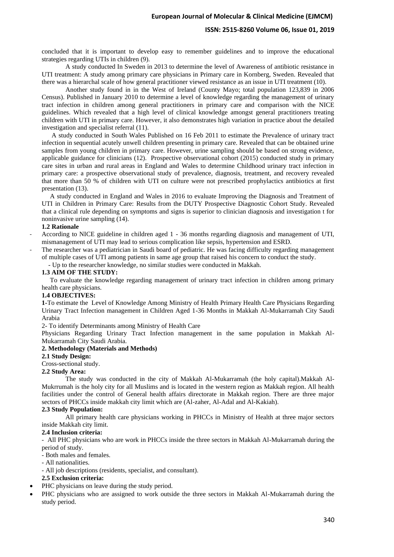### **ISSN: 2515-8260 Volume 06, Issue 01, 2019**

concluded that it is important to develop easy to remember guidelines and to improve the educational strategies regarding UTIs in children (9).

A study conducted In Sweden in 2013 to determine the level of Awareness of antibiotic resistance in UTI treatment: A study among primary care physicians in Primary care in Kornberg, Sweden. Revealed that there was a hierarchal scale of how general practitioner viewed resistance as an issue in UTI treatment (10).

Another study found in in the West of Ireland (County Mayo; total population 123,839 in 2006 Census). Published in January 2010 to determine a level of knowledge regarding the management of urinary tract infection in children among general practitioners in primary care and comparison with the NICE guidelines. Which revealed that a high level of clinical knowledge amongst general practitioners treating children with UTI in primary care. However, it also demonstrates high variation in practice about the detailed investigation and specialist referral (11).

 A study conducted in South Wales Published on 16 Feb 2011 to estimate the Prevalence of urinary tract infection in sequential acutely unwell children presenting in primary care. Revealed that can be obtained urine samples from young children in primary care. However, urine sampling should be based on strong evidence, applicable guidance for clinicians (12). Prospective observational cohort (2015) conducted study in primary care sites in urban and rural areas in England and Wales to determine Childhood urinary tract infection in primary care: a prospective observational study of prevalence, diagnosis, treatment, and recovery revealed that more than 50 % of children with UTI on culture were not prescribed prophylactics antibiotics at first presentation (13).

 A study conducted in England and Wales in 2016 to evaluate Improving the Diagnosis and Treatment of UTI in Children in Primary Care: Results from the DUTY Prospective Diagnostic Cohort Study. Revealed that a clinical rule depending on symptoms and signs is superior to clinician diagnosis and investigation t for noninvasive urine sampling (14).

#### **1.2 Rationale**

- According to NICE guideline in children aged 1 - 36 months regarding diagnosis and management of UTI, mismanagement of UTI may lead to serious complication like sepsis, hypertension and ESRD.

- The researcher was a pediatrician in Saudi board of pediatric. He was facing difficulty regarding management of multiple cases of UTI among patients in same age group that raised his concern to conduct the study.

- Up to the researcher knowledge, no similar studies were conducted in Makkah.

#### **1.3 AIM OF THE STUDY:**

 To evaluate the knowledge regarding management of urinary tract infection in children among primary health care physicians.

#### **1.4 OBJECTIVES:**

**1-**To estimate the Level of Knowledge Among Ministry of Health Primary Health Care Physicians Regarding Urinary Tract Infection management in Children Aged 1-36 Months in Makkah Al-Mukarramah City Saudi Arabia

2- To identify Determinants among Ministry of Health Care

Physicians Regarding Urinary Tract Infection management in the same population in Makkah Al-Mukarramah City Saudi Arabia.

#### **2. Methodology (Materials and Methods)**

#### **2.1 Study Design:**

Cross-sectional study.

#### **2.2 Study Area:**

The study was conducted in the city of Makkah Al-Mukarramah (the holy capital).Makkah Al-Mukrrumah is the holy city for all Muslims and is located in the western region as Makkah region. All health facilities under the control of General health affairs directorate in Makkah region. There are three major sectors of PHCCs inside makkah city limit which are (Al-zaher, Al-Adal and Al-Kakiah).

### **2.3 Study Population:**

All primary health care physicians working in PHCCs in Ministry of Health at three major sectors inside Makkah city limit.

#### **2.4 Inclusion criteria:**

- All PHC physicians who are work in PHCCs inside the three sectors in Makkah Al-Mukarramah during the period of study.

- Both males and females.
- All nationalities.
- All job descriptions (residents, specialist, and consultant).

### **2.5 Exclusion criteria:**

- PHC physicians on leave during the study period.
- PHC physicians who are assigned to work outside the three sectors in Makkah Al-Mukarramah during the study period.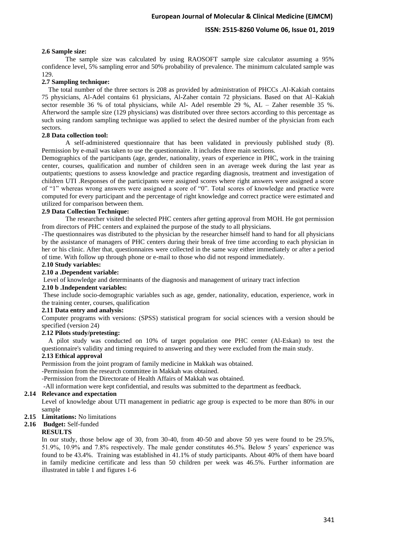# **ISSN: 2515-8260 Volume 06, Issue 01, 2019**

### **2.6 Sample size:**

The sample size was calculated by using RAOSOFT sample size calculator assuming a 95% confidence level, 5% sampling error and 50% probability of prevalence. The minimum calculated sample was 129.

### **2.7 Sampling technique:**

 The total number of the three sectors is 208 as provided by administration of PHCCs .Al-Kakiah contains 75 physicians, Al-Adel contains 61 physicians, Al-Zaher contain 72 physicians. Based on that Al–Kakiah sector resemble 36 % of total physicians, while Al- Adel resemble 29 %, AL – Zaher resemble 35 %. Afterword the sample size (129 physicians) was distributed over three sectors according to this percentage as such using random sampling technique was applied to select the desired number of the physician from each sectors.

### **2.8 Data collection tool:**

A self-administered questionnaire that has been validated in previously published study (8). Permission by e-mail was taken to use the questionnaire. It includes three main sections.

Demographics of the participants (age, gender, nationality, years of experience in PHC, work in the training center, courses, qualification and number of children seen in an average week during the last year as outpatients; questions to assess knowledge and practice regarding diagnosis, treatment and investigation of children UTI .Responses of the participants were assigned scores where right answers were assigned a score of "1" whereas wrong answers were assigned a score of "0". Total scores of knowledge and practice were computed for every participant and the percentage of right knowledge and correct practice were estimated and utilized for comparison between them.

### **2.9 Data Collection Technique:**

The researcher visited the selected PHC centers after getting approval from MOH. He got permission from directors of PHC centers and explained the purpose of the study to all physicians.

-The questionnaires was distributed to the physician by the researcher himself hand to hand for all physicians by the assistance of managers of PHC centers during their break of free time according to each physician in her or his clinic. After that, questionnaires were collected in the same way either immediately or after a period of time. With follow up through phone or e-mail to those who did not respond immediately.

# **2.10 Study variables:**

## **2.10 a .Dependent variable:**

Level of knowledge and determinants of the diagnosis and management of urinary tract infection

### **2.10 b .Independent variables:**

These include socio-demographic variables such as age, gender, nationality, education, experience, work in the training center, courses, qualification

### **2.11 Data entry and analysis:**

Computer programs with versions: (SPSS) statistical program for social sciences with a version should be specified (version 24)

### **2.12 Pilots study/pretesting:**

 A pilot study was conducted on 10% of target population one PHC center (Al-Eskan) to test the questionnaire's validity and timing required to answering and they were excluded from the main study.

### **2.13 Ethical approval**

Permission from the joint program of family medicine in Makkah was obtained.

-Permission from the research committee in Makkah was obtained.

-Permission from the Directorate of Health Affairs of Makkah was obtained.

-All information were kept confidential, and results was submitted to the department as feedback.

### **2.14 Relevance and expectation**

Level of knowledge about UTI management in pediatric age group is expected to be more than 80% in our sample

**2.15 Limitations:** No limitations

### **2.16 Budget:** Self-funded

### **RESULTS**

In our study, those below age of 30, from 30-40, from 40-50 and above 50 yes were found to be 29.5%, 51.9%, 10.9% and 7.8% respectively. The male gender constitutes 46.5%. Below 5 years' experience was found to be 43.4%. Training was established in 41.1% of study participants. About 40% of them have board in family medicine certificate and less than 50 children per week was 46.5%. Further information are illustrated in table 1 and figures 1-6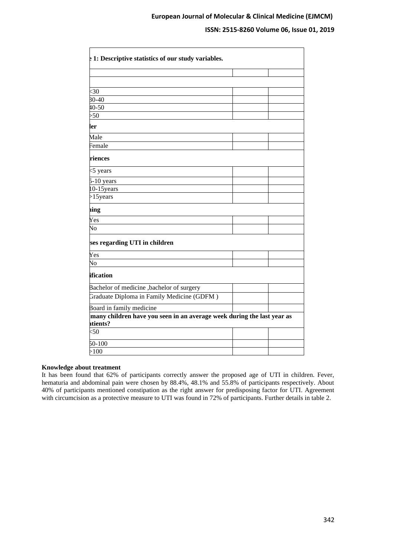# **ISSN: 2515-8260 Volume 06, Issue 01, 2019**

| $\frac{1}{2}$ 1: Descriptive statistics of our study variables.                   |  |
|-----------------------------------------------------------------------------------|--|
|                                                                                   |  |
|                                                                                   |  |
|                                                                                   |  |
| $\leq 30$                                                                         |  |
| $30 - 40$                                                                         |  |
| $40 - 50$                                                                         |  |
| >50                                                                               |  |
| ler                                                                               |  |
| Male                                                                              |  |
| <sup>7</sup> emale                                                                |  |
| riences                                                                           |  |
| <5 years                                                                          |  |
| $5-10$ years                                                                      |  |
| $0-15$ years                                                                      |  |
| $>15$ years                                                                       |  |
| iing                                                                              |  |
| Yes                                                                               |  |
| $\overline{N}$                                                                    |  |
| ses regarding UTI in children                                                     |  |
| Yes                                                                               |  |
| $\overline{\text{No}}$                                                            |  |
| ification                                                                         |  |
| Bachelor of medicine, bachelor of surgery                                         |  |
| Graduate Diploma in Family Medicine (GDFM)                                        |  |
| Board in family medicine                                                          |  |
| many children have you seen in an average week during the last year as<br>tients? |  |
| <50                                                                               |  |
| $50 - 100$                                                                        |  |
| >100                                                                              |  |

### **Knowledge about treatment**

It has been found that 62% of participants correctly answer the proposed age of UTI in children. Fever, hematuria and abdominal pain were chosen by 88.4%, 48.1% and 55.8% of participants respectively. About 40% of participants mentioned constipation as the right answer for predisposing factor for UTI. Agreement with circumcision as a protective measure to UTI was found in 72% of participants. Further details in table 2.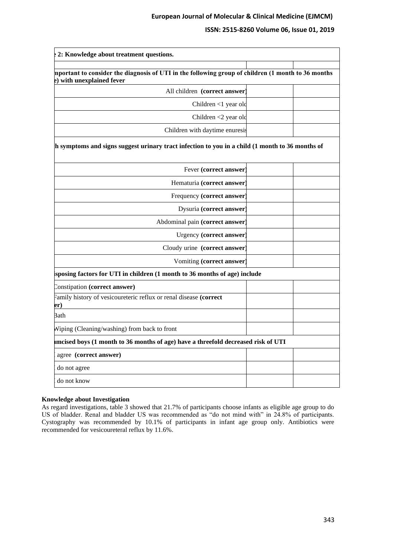# **ISSN: 2515-8260 Volume 06, Issue 01, 2019**

| 2: Knowledge about treatment questions.                                                                                         |  |
|---------------------------------------------------------------------------------------------------------------------------------|--|
|                                                                                                                                 |  |
| mportant to consider the diagnosis of UTI in the following group of children (1 month to 36 months<br>e) with unexplained fever |  |
| All children (correct answer)                                                                                                   |  |
| Children <1 year old                                                                                                            |  |
| Children <2 year old                                                                                                            |  |
| Children with daytime enuresis                                                                                                  |  |
| h symptoms and signs suggest urinary tract infection to you in a child (1 month to 36 months of                                 |  |
| Fever (correct answer)                                                                                                          |  |
| Hematuria (correct answer)                                                                                                      |  |
| Frequency (correct answer)                                                                                                      |  |
| Dysuria (correct answer)                                                                                                        |  |
| Abdominal pain (correct answer)                                                                                                 |  |
| Urgency (correct answer)                                                                                                        |  |
| Cloudy urine (correct answer)                                                                                                   |  |
| Vomiting (correct answer)                                                                                                       |  |
| sposing factors for UTI in children (1 month to 36 months of age) include                                                       |  |
| Constipation (correct answer)                                                                                                   |  |
| Family history of vesicoureteric reflux or renal disease (correct<br>er)                                                        |  |
| Bath                                                                                                                            |  |
| Wiping (Cleaning/washing) from back to front                                                                                    |  |
| mcised boys (1 month to 36 months of age) have a threefold decreased risk of UTI                                                |  |
| agree (correct answer)                                                                                                          |  |
| do not agree                                                                                                                    |  |
| do not know                                                                                                                     |  |

### **Knowledge about Investigation**

As regard investigations, table 3 showed that 21.7% of participants choose infants as eligible age group to do US of bladder. Renal and bladder US was recommended as "do not mind with" in 24.8% of participants. Cystography was recommended by 10.1% of participants in infant age group only. Antibiotics were recommended for vesicoureteral reflux by 11.6%.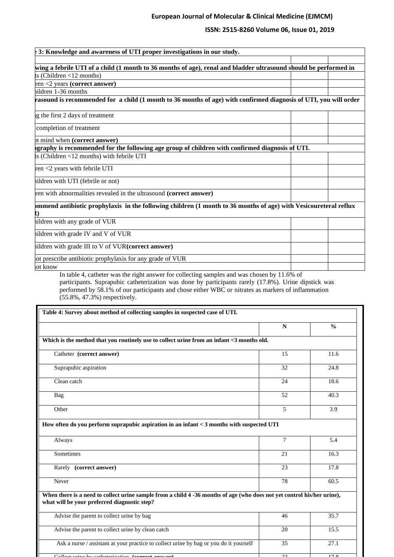# **ISSN: 2515-8260 Volume 06, Issue 01, 2019**

| 3: Knowledge and awareness of UTI proper investigations in our study.<br>wing a febrile UTI of a child (1 month to 36 months of age), renal and bladder ultrasound should be performed in<br>$ts$ (Children <12 months)<br>$ren < 2$ years (correct answer)<br>hildren 1-36 months<br>rasound is recommended for a child (1 month to 36 months of age) with confirmed diagnosis of UTI, you will order<br>g the first 2 days of treatment<br>completion of treatment<br>ot mind when (correct answer)<br>pgraphy is recommended for the following age group of children with confirmed diagnosis of UTI.<br>ts (Children <12 months) with febrile UTI<br>ren <2 years with febrile UTI<br>hildren with UTI (febrile or not)<br>ren with abnormalities revealed in the ultrasound (correct answer)<br>mmend antibiotic prophylaxis in the following children (1 month to 36 months of age) with Vesicoureteral reflux<br>hildren with any grade of VUR<br>hildren with grade IV and V of VUR<br>hildren with grade III to V of VUR(correct answer)<br>ot prescribe antibiotic prophylaxis for any grade of VUR<br>ot know |  |  |
|--------------------------------------------------------------------------------------------------------------------------------------------------------------------------------------------------------------------------------------------------------------------------------------------------------------------------------------------------------------------------------------------------------------------------------------------------------------------------------------------------------------------------------------------------------------------------------------------------------------------------------------------------------------------------------------------------------------------------------------------------------------------------------------------------------------------------------------------------------------------------------------------------------------------------------------------------------------------------------------------------------------------------------------------------------------------------------------------------------------------------|--|--|
|                                                                                                                                                                                                                                                                                                                                                                                                                                                                                                                                                                                                                                                                                                                                                                                                                                                                                                                                                                                                                                                                                                                          |  |  |
|                                                                                                                                                                                                                                                                                                                                                                                                                                                                                                                                                                                                                                                                                                                                                                                                                                                                                                                                                                                                                                                                                                                          |  |  |
|                                                                                                                                                                                                                                                                                                                                                                                                                                                                                                                                                                                                                                                                                                                                                                                                                                                                                                                                                                                                                                                                                                                          |  |  |
|                                                                                                                                                                                                                                                                                                                                                                                                                                                                                                                                                                                                                                                                                                                                                                                                                                                                                                                                                                                                                                                                                                                          |  |  |
|                                                                                                                                                                                                                                                                                                                                                                                                                                                                                                                                                                                                                                                                                                                                                                                                                                                                                                                                                                                                                                                                                                                          |  |  |
|                                                                                                                                                                                                                                                                                                                                                                                                                                                                                                                                                                                                                                                                                                                                                                                                                                                                                                                                                                                                                                                                                                                          |  |  |
|                                                                                                                                                                                                                                                                                                                                                                                                                                                                                                                                                                                                                                                                                                                                                                                                                                                                                                                                                                                                                                                                                                                          |  |  |
|                                                                                                                                                                                                                                                                                                                                                                                                                                                                                                                                                                                                                                                                                                                                                                                                                                                                                                                                                                                                                                                                                                                          |  |  |
|                                                                                                                                                                                                                                                                                                                                                                                                                                                                                                                                                                                                                                                                                                                                                                                                                                                                                                                                                                                                                                                                                                                          |  |  |
|                                                                                                                                                                                                                                                                                                                                                                                                                                                                                                                                                                                                                                                                                                                                                                                                                                                                                                                                                                                                                                                                                                                          |  |  |
|                                                                                                                                                                                                                                                                                                                                                                                                                                                                                                                                                                                                                                                                                                                                                                                                                                                                                                                                                                                                                                                                                                                          |  |  |
|                                                                                                                                                                                                                                                                                                                                                                                                                                                                                                                                                                                                                                                                                                                                                                                                                                                                                                                                                                                                                                                                                                                          |  |  |
|                                                                                                                                                                                                                                                                                                                                                                                                                                                                                                                                                                                                                                                                                                                                                                                                                                                                                                                                                                                                                                                                                                                          |  |  |
|                                                                                                                                                                                                                                                                                                                                                                                                                                                                                                                                                                                                                                                                                                                                                                                                                                                                                                                                                                                                                                                                                                                          |  |  |
|                                                                                                                                                                                                                                                                                                                                                                                                                                                                                                                                                                                                                                                                                                                                                                                                                                                                                                                                                                                                                                                                                                                          |  |  |
|                                                                                                                                                                                                                                                                                                                                                                                                                                                                                                                                                                                                                                                                                                                                                                                                                                                                                                                                                                                                                                                                                                                          |  |  |
|                                                                                                                                                                                                                                                                                                                                                                                                                                                                                                                                                                                                                                                                                                                                                                                                                                                                                                                                                                                                                                                                                                                          |  |  |
|                                                                                                                                                                                                                                                                                                                                                                                                                                                                                                                                                                                                                                                                                                                                                                                                                                                                                                                                                                                                                                                                                                                          |  |  |
|                                                                                                                                                                                                                                                                                                                                                                                                                                                                                                                                                                                                                                                                                                                                                                                                                                                                                                                                                                                                                                                                                                                          |  |  |
|                                                                                                                                                                                                                                                                                                                                                                                                                                                                                                                                                                                                                                                                                                                                                                                                                                                                                                                                                                                                                                                                                                                          |  |  |
|                                                                                                                                                                                                                                                                                                                                                                                                                                                                                                                                                                                                                                                                                                                                                                                                                                                                                                                                                                                                                                                                                                                          |  |  |

In table 4, catheter was the right answer for collecting samples and was chosen by 11.6% of participants. Suprapubic catheterization was done by participants rarely (17.8%). Urine dipstick was performed by 58.1% of our participants and chose either WBC or nitrates as markers of inflammation (55.8%, 47.3%) respectively.

E

|                                                                                                                                                                         | N      | $\frac{0}{0}$ |
|-------------------------------------------------------------------------------------------------------------------------------------------------------------------------|--------|---------------|
| Which is the method that you routinely use to collect urine from an infant <3 months old.                                                                               |        |               |
| Catheter (correct answer)                                                                                                                                               | 15     | 11.6          |
| Suprapubic aspiration                                                                                                                                                   | 32     | 24.8          |
| Clean catch                                                                                                                                                             | 24     | 18.6          |
| Bag                                                                                                                                                                     | 52     | 40.3          |
| Other                                                                                                                                                                   | 5      | 3.9           |
| How often do you perform suprapubic aspiration in an infant < 3 months with suspected UTI                                                                               |        |               |
| Always                                                                                                                                                                  | $\tau$ | 5.4           |
| Sometimes                                                                                                                                                               | 21     | 16.3          |
| Rarely (correct answer)                                                                                                                                                 | 23     | 17.8          |
| Never                                                                                                                                                                   | 78     | 60.5          |
| When there is a need to collect urine sample from a child 4 -36 months of age (who does not yet control his/her urine),<br>what will be your preferred diagnostic step? |        |               |
| Advise the parent to collect urine by bag                                                                                                                               | 46     | 35.7          |
| Advise the parent to collect urine by clean catch                                                                                                                       | 20     | 15.5          |
| Ask a nurse / assistant at your practice to collect urine by bag or you do it yourself                                                                                  | 35     | 27.1          |
| $C_2$ lla<br>at naing her gatha taujanting                                                                                                                              | 22     | 170           |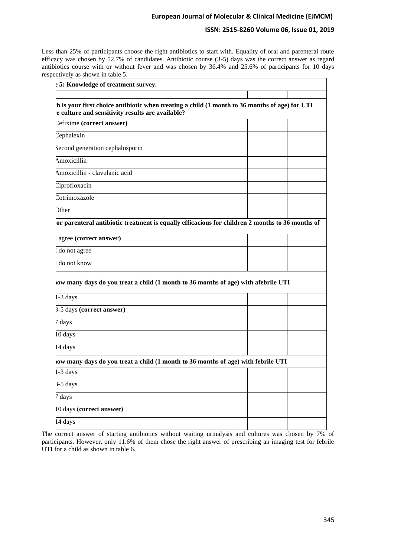# **ISSN: 2515-8260 Volume 06, Issue 01, 2019**

Less than 25% of participants choose the right antibiotics to start with. Equality of oral and parenteral route efficacy was chosen by 52.7% of candidates. Antibiotic course (3-5) days was the correct answer as regard antibiotics course with or without fever and was chosen by 36.4% and 25.6% of participants for 10 days respectively as shown in table 5.

| $\frac{1}{2}$ 5: Knowledge of treatment survey.                                                                                                       |  |
|-------------------------------------------------------------------------------------------------------------------------------------------------------|--|
|                                                                                                                                                       |  |
| $\ln$ is your first choice antibiotic when treating a child (1 month to 36 months of age) for UTI<br>e culture and sensitivity results are available? |  |
| Cefixime (correct answer)                                                                                                                             |  |
| Cephalexin                                                                                                                                            |  |
| Second generation cephalosporin                                                                                                                       |  |
| Amoxicillin                                                                                                                                           |  |
| Amoxicillin - clavulanic acid                                                                                                                         |  |
| Ciprofloxacin                                                                                                                                         |  |
| Cotrimoxazole                                                                                                                                         |  |
| <b>Dther</b>                                                                                                                                          |  |
| or parenteral antibiotic treatment is equally efficacious for children 2 months to 36 months of                                                       |  |
| agree (correct answer)                                                                                                                                |  |
| do not agree                                                                                                                                          |  |
| do not know                                                                                                                                           |  |
| low many days do you treat a child (1 month to 36 months of age) with afebrile UTI                                                                    |  |
| -3 days                                                                                                                                               |  |
| 3-5 days (correct answer)                                                                                                                             |  |
| 7 days                                                                                                                                                |  |
| 0 days                                                                                                                                                |  |
| 4 days                                                                                                                                                |  |
| low many days do you treat a child (1 month to 36 months of age) with febrile UTI                                                                     |  |
| -3 days                                                                                                                                               |  |
| $3-5$ days                                                                                                                                            |  |
| days                                                                                                                                                  |  |
| 0 days (correct answer)                                                                                                                               |  |
| 4 days                                                                                                                                                |  |

The correct answer of starting antibiotics without waiting urinalysis and cultures was chosen by 7% of participants. However, only 11.6% of them chose the right answer of prescribing an imaging test for febrile UTI for a child as shown in table 6.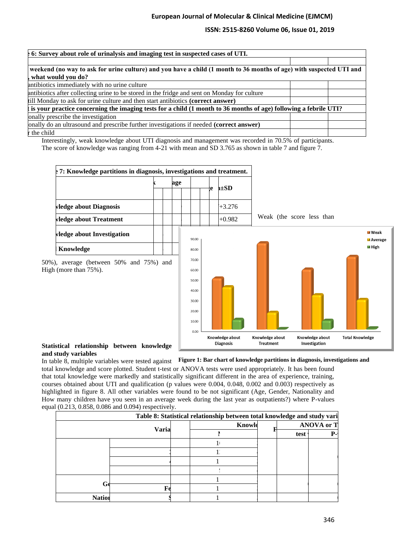# **ISSN: 2515-8260 Volume 06, Issue 01, 2019**

| $\frac{1}{2}$ 6: Survey about role of urinalysis and imaging test in suspected cases of UTI.                        |  |
|---------------------------------------------------------------------------------------------------------------------|--|
|                                                                                                                     |  |
| weekend (no way to ask for urine culture) and you have a child (1 month to 36 months of age) with suspected UTI and |  |
| what would you do?                                                                                                  |  |
| antibiotics immediately with no urine culture                                                                       |  |
| antibiotics after collecting urine to be stored in the fridge and sent on Monday for culture                        |  |
| till Monday to ask for urine culture and then start antibiotics (correct answer)                                    |  |
| is your practice concerning the imaging tests for a child (1 month to 36 months of age) following a febrile UTI?    |  |
| onally prescribe the investigation                                                                                  |  |
| onally do an ultrasound and prescribe further investigations if needed (correct answer)                             |  |
| r the child                                                                                                         |  |

Interestingly, weak knowledge about UTI diagnosis and management was recorded in 70.5% of participants. The score of knowledge was ranging from 4-21 with mean and SD 3.765 as shown in table 7 and figure 7.



### **Statistical relationship between knowledge and study variables**

In table 8, multiple variables were tested against Figure 1: Bar chart of knowledge partitions in diagnosis, investigations and

total knowledge and score plotted. Student t-test or ANOVA tests were used appropriately. It has been found that total knowledge were markedly and statistically significant different in the area of experience, training, courses obtained about UTI and qualification (p values were 0.004, 0.048, 0.002 and 0.003) respectively as highlighted in figure 8. All other variables were found to be not significant (Age, Gender, Nationality and How many children have you seen in an average week during the last year as outpatients?) where P-values equal (0.213, 0.858, 0.086 and 0.094) respectively.

|               |       | Table 8: Statistical relationship between total knowledge and study vari |                   |    |
|---------------|-------|--------------------------------------------------------------------------|-------------------|----|
|               |       | Knowle                                                                   | <b>ANOVA or T</b> |    |
|               | Varia |                                                                          | test              | Р- |
|               |       |                                                                          |                   |    |
|               |       |                                                                          |                   |    |
|               |       |                                                                          |                   |    |
|               |       |                                                                          |                   |    |
|               |       |                                                                          |                   |    |
|               | F     |                                                                          |                   |    |
| <b>Nation</b> |       |                                                                          |                   |    |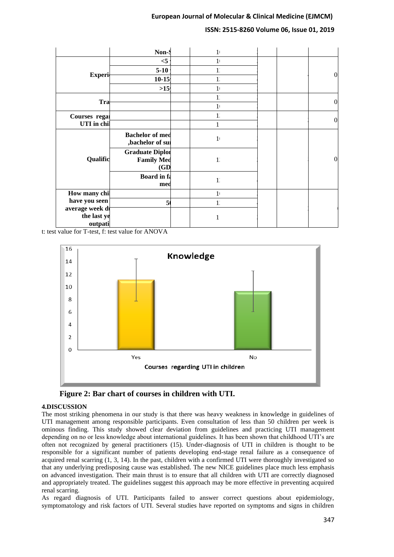# **ISSN: 2515-8260 Volume 06, Issue 01, 2019**

|                                           | Non-S                                               | 1 <sub>1</sub> |                |
|-------------------------------------------|-----------------------------------------------------|----------------|----------------|
|                                           | $<$ 5                                               | 1 <sub>1</sub> |                |
|                                           | $5 - 10$                                            | 1'             |                |
| <b>Experi</b>                             | $10 - 15$                                           | $1^{\circ}$    | $\theta$       |
|                                           | $>15$                                               | $\mathbf{1}$   |                |
|                                           |                                                     | 1'             | $\theta$       |
| Tra                                       |                                                     | 1 <sub>1</sub> |                |
| Courses regal                             |                                                     | 1 <sup>′</sup> | $\overline{0}$ |
| UTI in chil                               |                                                     |                |                |
| Qualific                                  | <b>Bachelor</b> of med<br>,bachelor of su           | 1 <sub>1</sub> |                |
|                                           | <b>Graduate Diplor</b><br><b>Family Med</b><br>(GD) | 1 <sup>′</sup> | $\theta$       |
|                                           | <b>Board</b> in fa<br>med                           | 1'             |                |
| How many chi                              |                                                     | 1 <sub>1</sub> |                |
| have you seen                             | 5 <sub>0</sub>                                      | 1'             |                |
| average week di<br>the last ye<br>outpati |                                                     |                |                |

t: test value for T-test, f: test value for ANOVA



**Figure 2: Bar chart of courses in children with UTI.**

### **4.DISCUSSION**

The most striking phenomena in our study is that there was heavy weakness in knowledge in guidelines of UTI management among responsible participants. Even consultation of less than 50 children per week is ominous finding. This study showed clear deviation from guidelines and practicing UTI management depending on no or less knowledge about international guidelines. It has been shown that childhood UTI's are often not recognized by general practitioners (15). Under-diagnosis of UTI in children is thought to be responsible for a significant number of patients developing end-stage renal failure as a consequence of acquired renal scarring (1, 3, 14). In the past, children with a confirmed UTI were thoroughly investigated so that any underlying predisposing cause was established. The new NICE guidelines place much less emphasis on advanced investigation. Their main thrust is to ensure that all children with UTI are correctly diagnosed and appropriately treated. The guidelines suggest this approach may be more effective in preventing acquired renal scarring.

As regard diagnosis of UTI. Participants failed to answer correct questions about epidemiology, symptomatology and risk factors of UTI. Several studies have reported on symptoms and signs in children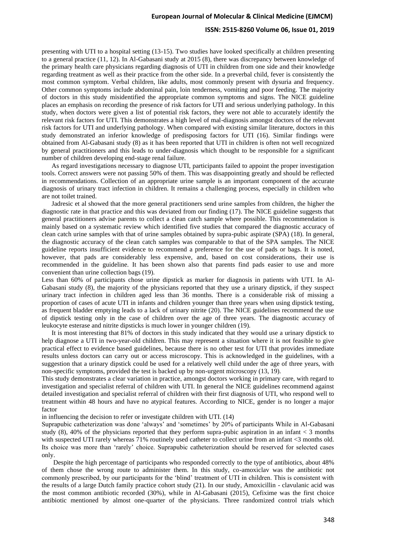### **ISSN: 2515-8260 Volume 06, Issue 01, 2019**

presenting with UTI to a hospital setting (13-15). Two studies have looked specifically at children presenting to a general practice (11, 12). In Al-Gabasani study at 2015 (8), there was discrepancy between knowledge of the primary health care physicians regarding diagnosis of UTI in children from one side and their knowledge regarding treatment as well as their practice from the other side. In a preverbal child, fever is consistently the most common symptom. Verbal children, like adults, most commonly present with dysuria and frequency. Other common symptoms include abdominal pain, loin tenderness, vomiting and poor feeding. The majority of doctors in this study misidentified the appropriate common symptoms and signs. The NICE guideline places an emphasis on recording the presence of risk factors for UTI and serious underlying pathology. In this study, when doctors were given a list of potential risk factors, they were not able to accurately identify the relevant risk factors for UTI. This demonstrates a high level of mal-diagnosis amongst doctors of the relevant risk factors for UTI and underlying pathology. When compared with existing similar literature, doctors in this study demonstrated an inferior knowledge of predisposing factors for UTI (16). Similar findings were obtained from Al-Gabasani study (8) as it has been reported that UTI in children is often not well recognized by general practitioners and this leads to under-diagnosis which thought to be responsible for a significant number of children developing end-stage renal failure.

 As regard investigations necessary to diagnose UTI, participants failed to appoint the proper investigation tools. Correct answers were not passing 50% of them. This was disappointing greatly and should be reflected in recommendations. Collection of an appropriate urine sample is an important component of the accurate diagnosis of urinary tract infection in children. It remains a challenging process, especially in children who are not toilet trained.

 Jadresic et al showed that the more general practitioners send urine samples from children, the higher the diagnostic rate in that practice and this was deviated from our finding (17). The NICE guideline suggests that general practitioners advise parents to collect a clean catch sample where possible. This recommendation is mainly based on a systematic review which identified five studies that compared the diagnostic accuracy of clean catch urine samples with that of urine samples obtained by supra-pubic aspirate (SPA) (18). In general, the diagnostic accuracy of the clean catch samples was comparable to that of the SPA samples. The NICE guideline reports insufficient evidence to recommend a preference for the use of pads or bags. It is noted, however, that pads are considerably less expensive, and, based on cost considerations, their use is recommended in the guideline. It has been shown also that parents find pads easier to use and more convenient than urine collection bags (19).

Less than 60% of participants chose urine dipstick as marker for diagnosis in patients with UTI. In Al-Gabasani study (8), the majority of the physicians reported that they use a urinary dipstick, if they suspect urinary tract infection in children aged less than 36 months. There is a considerable risk of missing a proportion of cases of acute UTI in infants and children younger than three years when using dipstick testing, as frequent bladder emptying leads to a lack of urinary nitrite (20). The NICE guidelines recommend the use of dipstick testing only in the case of children over the age of three years. The diagnostic accuracy of leukocyte esterase and nitrite dipsticks is much lower in younger children (19).

 It is most interesting that 81% of doctors in this study indicated that they would use a urinary dipstick to help diagnose a UTI in two-year-old children. This may represent a situation where it is not feasible to give practical effect to evidence based guidelines, because there is no other test for UTI that provides immediate results unless doctors can carry out or access microscopy. This is acknowledged in the guidelines, with a suggestion that a urinary dipstick could be used for a relatively well child under the age of three years, with non-specific symptoms, provided the test is backed up by non-urgent microscopy (13, 19).

This study demonstrates a clear variation in practice, amongst doctors working in primary care, with regard to investigation and specialist referral of children with UTI. In general the NICE guidelines recommend against detailed investigation and specialist referral of children with their first diagnosis of UTI, who respond well to treatment within 48 hours and have no atypical features. According to NICE, gender is no longer a major factor

in influencing the decision to refer or investigate children with UTI. (14)

Suprapubic catheterization was done 'always' and 'sometimes' by 20% of participants While in Al-Gabasani study  $(8)$ , 40% of the physicians reported that they perform supra-pubic aspiration in an infant  $\lt$  3 months with suspected UTI rarely whereas 71% routinely used catheter to collect urine from an infant <3 months old. Its choice was more than 'rarely' choice. Suprapubic catheterization should be reserved for selected cases only.

 Despite the high percentage of participants who responded correctly to the type of antibiotics, about 48% of them chose the wrong route to administer them. In this study, co-amoxiclav was the antibiotic not commonly prescribed, by our participants for the 'blind' treatment of UTI in children. This is consistent with the results of a large Dutch family practice cohort study (21). In our study, Amoxicillin - clavulanic acid was the most common antibiotic recorded (30%), while in Al-Gabasani (2015), Cefixime was the first choice antibiotic mentioned by almost one-quarter of the physicians. Three randomized control trials which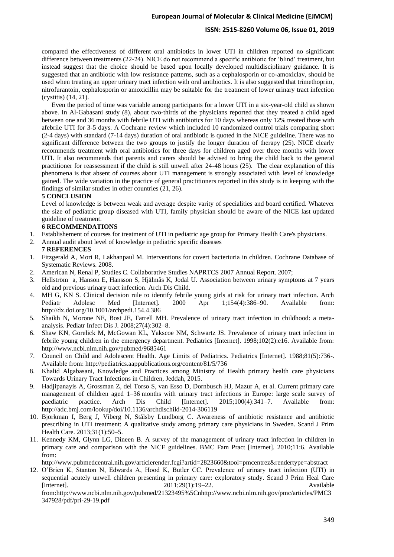### **ISSN: 2515-8260 Volume 06, Issue 01, 2019**

compared the effectiveness of different oral antibiotics in lower UTI in children reported no significant difference between treatments (22-24). NICE do not recommend a specific antibiotic for 'blind' treatment, but instead suggest that the choice should be based upon locally developed multidisciplinary guidance. It is suggested that an antibiotic with low resistance patterns, such as a cephalosporin or co-amoxiclav, should be used when treating an upper urinary tract infection with oral antibiotics. It is also suggested that trimethoprim, nitrofurantoin, cephalosporin or amoxicillin may be suitable for the treatment of lower urinary tract infection (cystitis) (14, 21).

 Even the period of time was variable among participants for a lower UTI in a six-year-old child as shown above. In Al-Gabasani study (8), about two-thirds of the physicians reported that they treated a child aged between one and 36 months with febrile UTI with antibiotics for 10 days whereas only 12% treated those with afebrile UTI for 3-5 days. A Cochrane review which included 10 randomized control trials comparing short (2-4 days) with standard (7-14 days) duration of oral antibiotic is quoted in the NICE guideline. There was no significant difference between the two groups to justify the longer duration of therapy (25). NICE clearly recommends treatment with oral antibiotics for three days for children aged over three months with lower UTI. It also recommends that parents and carers should be advised to bring the child back to the general practitioner for reassessment if the child is still unwell after 24-48 hours (25). The clear explanation of this phenomena is that absent of courses about UTI management is strongly associated with level of knowledge gained. The wide variation in the practice of general practitioners reported in this study is in keeping with the findings of similar studies in other countries (21, 26).

### **5 CONCLUSION**

Level of knowledge is between weak and average despite varity of specialities and board certified. Whatever the size of pediatric group diseased with UTI, family physician should be aware of the NICE last updated guideline of treatment.

#### **6 RECOMMENDATIONS**

- 1. Establishement of courses for treatment of UTI in pediatric age group for Primary Health Care's physicians.
- 2. Annual audit about level of knowledge in pediatric specific diseases

# **7 REFERENCES**

- 1. Fitzgerald A, Mori R, Lakhanpaul M. Interventions for covert bacteriuria in children. Cochrane Database of Systematic Reviews. 2008.
- 2. American N, Renal P, Studies C. Collaborative Studies NAPRTCS 2007 Annual Report. 2007;
- 3. Hellström a, Hanson E, Hansson S, Hjälmås K, Jodal U. Association between urinary symptoms at 7 years old and previous urinary tract infection. Arch Dis Child.
- 4. MH G, KN S. Clinical decision rule to identify febrile young girls at risk for urinary tract infection. Arch Pediatr Adolesc Med [Internet]. 2000 Apr 1;154(4):386–90. Available from: http://dx.doi.org/10.1001/archpedi.154.4.386
- 5. Shaikh N, Morone NE, Bost JE, Farrell MH. Prevalence of urinary tract infection in childhood: a metaanalysis. Pediatr Infect Dis J. 2008;27(4):302–8.
- 6. Shaw KN, Gorelick M, McGowan KL, Yakscoe NM, Schwartz JS. Prevalence of urinary tract infection in febrile young children in the emergency department. Pediatrics [Internet]. 1998;102(2):e16. Available from: http://www.ncbi.nlm.nih.gov/pubmed/9685461
- 7. Council on Child and Adolescent Health. Age Limits of Pediatrics. Pediatrics [Internet]. 1988;81(5):736-. Available from: http://pediatrics.aappublications.org/content/81/5/736
- 8. Khalid Algabasani, Knowledge and Practices among Ministry of Health primary health care physicians Towards Urinary Tract Infections in Children, Jeddah, 2015.
- 9. Hadjipanayis A, Grossman Z, del Torso S, van Esso D, Dornbusch HJ, Mazur A, et al. Current primary care management of children aged 1–36 months with urinary tract infections in Europe: large scale survey of paediatric practice. Arch Dis Child [Internet]. 2015;100(4):341–7. Available from: http://adc.bmj.com/lookup/doi/10.1136/archdischild-2014-306119
- 10. Björkman I, Berg J, Viberg N, Stålsby Lundborg C. Awareness of antibiotic resistance and antibiotic prescribing in UTI treatment: A qualitative study among primary care physicians in Sweden. Scand J Prim Health Care. 2013;31(1):50–5.
- 11. Kennedy KM, Glynn LG, Dineen B. A survey of the management of urinary tract infection in children in primary care and comparison with the NICE guidelines. BMC Fam Pract [Internet]. 2010;11:6. Available from:

http://www.pubmedcentral.nih.gov/articlerender.fcgi?artid=2823660&tool=pmcentrez&rendertype=abstract

12. O'Brien K, Stanton N, Edwards A, Hood K, Butler CC. Prevalence of urinary tract infection (UTI) in sequential acutely unwell children presenting in primary care: exploratory study. Scand J Prim Heal Care [Internet]. 2011;29(1):19–22. Available from:http://www.ncbi.nlm.nih.gov/pubmed/21323495%5Cnhttp://www.ncbi.nlm.nih.gov/pmc/articles/PMC3 347928/pdf/pri-29-19.pdf